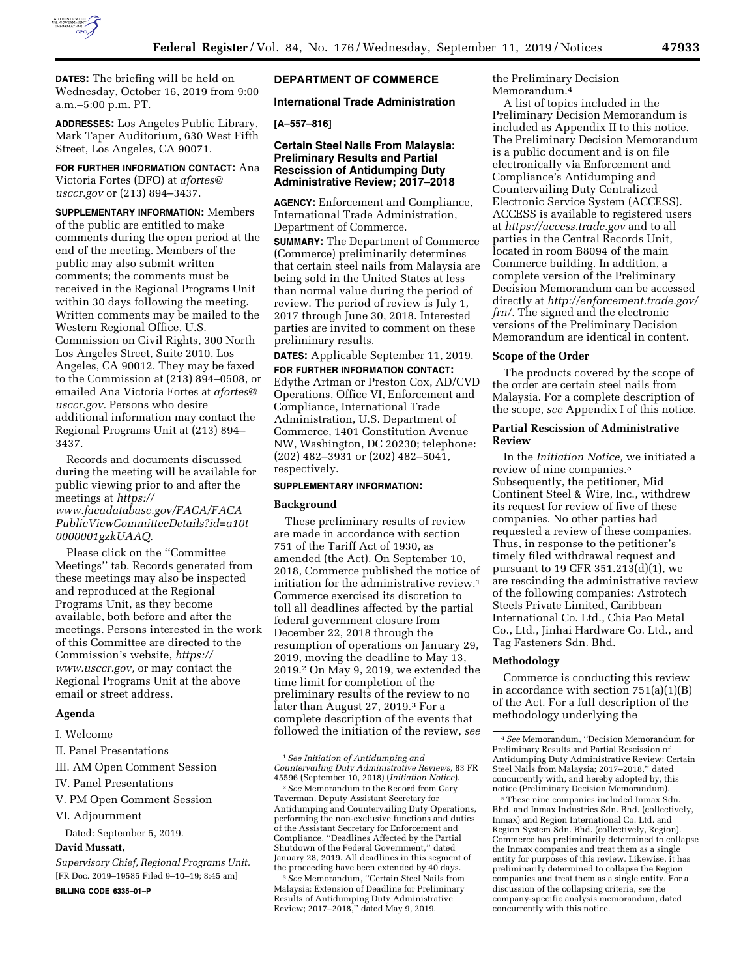

**DATES:** The briefing will be held on Wednesday, October 16, 2019 from 9:00 a.m.–5:00 p.m. PT.

**ADDRESSES:** Los Angeles Public Library, Mark Taper Auditorium, 630 West Fifth Street, Los Angeles, CA 90071.

**FOR FURTHER INFORMATION CONTACT:** Ana Victoria Fortes (DFO) at *[afortes@](mailto:afortes@usccr.gov) [usccr.gov](mailto:afortes@usccr.gov)* or (213) 894–3437.

**SUPPLEMENTARY INFORMATION:** Members of the public are entitled to make comments during the open period at the end of the meeting. Members of the public may also submit written comments; the comments must be received in the Regional Programs Unit within 30 days following the meeting. Written comments may be mailed to the Western Regional Office, U.S. Commission on Civil Rights, 300 North Los Angeles Street, Suite 2010, Los Angeles, CA 90012. They may be faxed to the Commission at (213) 894–0508, or emailed Ana Victoria Fortes at *[afortes@](mailto:afortes@usccr.gov) [usccr.gov.](mailto:afortes@usccr.gov)* Persons who desire additional information may contact the Regional Programs Unit at (213) 894– 3437.

Records and documents discussed during the meeting will be available for public viewing prior to and after the meetings at *[https://](https://www.facadatabase.gov/FACA/FACAPublicViewCommitteeDetails?id=a10t0000001gzkUAAQ) [www.facadatabase.gov/FACA/FACA](https://www.facadatabase.gov/FACA/FACAPublicViewCommitteeDetails?id=a10t0000001gzkUAAQ) [PublicViewCommitteeDetails?id=a10t](https://www.facadatabase.gov/FACA/FACAPublicViewCommitteeDetails?id=a10t0000001gzkUAAQ) [0000001gzkUAAQ.](https://www.facadatabase.gov/FACA/FACAPublicViewCommitteeDetails?id=a10t0000001gzkUAAQ)* 

Please click on the ''Committee Meetings'' tab. Records generated from these meetings may also be inspected and reproduced at the Regional Programs Unit, as they become available, both before and after the meetings. Persons interested in the work of this Committee are directed to the Commission's website, *[https://](https://www.usccr.gov) [www.usccr.gov,](https://www.usccr.gov)* or may contact the Regional Programs Unit at the above email or street address.

### **Agenda**

I. Welcome

II. Panel Presentations

VI. Adjournment

Dated: September 5, 2019.

# **David Mussatt,**

*Supervisory Chief, Regional Programs Unit.*  [FR Doc. 2019–19585 Filed 9–10–19; 8:45 am] **BILLING CODE 6335–01–P** 

# **DEPARTMENT OF COMMERCE**

### **International Trade Administration**

# **[A–557–816]**

### **Certain Steel Nails From Malaysia: Preliminary Results and Partial Rescission of Antidumping Duty Administrative Review; 2017–2018**

**AGENCY:** Enforcement and Compliance, International Trade Administration, Department of Commerce.

**SUMMARY:** The Department of Commerce (Commerce) preliminarily determines that certain steel nails from Malaysia are being sold in the United States at less than normal value during the period of review. The period of review is July 1, 2017 through June 30, 2018. Interested parties are invited to comment on these preliminary results.

**DATES:** Applicable September 11, 2019.

**FOR FURTHER INFORMATION CONTACT:**  Edythe Artman or Preston Cox, AD/CVD Operations, Office VI, Enforcement and Compliance, International Trade Administration, U.S. Department of Commerce, 1401 Constitution Avenue NW, Washington, DC 20230; telephone: (202) 482–3931 or (202) 482–5041, respectively.

#### **SUPPLEMENTARY INFORMATION:**

#### **Background**

These preliminary results of review are made in accordance with section 751 of the Tariff Act of 1930, as amended (the Act). On September 10, 2018, Commerce published the notice of initiation for the administrative review.1 Commerce exercised its discretion to toll all deadlines affected by the partial federal government closure from December 22, 2018 through the resumption of operations on January 29, 2019, moving the deadline to May 13, 2019.2 On May 9, 2019, we extended the time limit for completion of the preliminary results of the review to no later than August 27, 2019.3 For a complete description of the events that followed the initiation of the review, *see* 

3*See* Memorandum, ''Certain Steel Nails from Malaysia: Extension of Deadline for Preliminary Results of Antidumping Duty Administrative Review; 2017–2018,'' dated May 9, 2019.

the Preliminary Decision Memorandum.4

A list of topics included in the Preliminary Decision Memorandum is included as Appendix II to this notice. The Preliminary Decision Memorandum is a public document and is on file electronically via Enforcement and Compliance's Antidumping and Countervailing Duty Centralized Electronic Service System (ACCESS). ACCESS is available to registered users at *<https://access.trade.gov>*and to all parties in the Central Records Unit, located in room B8094 of the main Commerce building. In addition, a complete version of the Preliminary Decision Memorandum can be accessed directly at *[http://enforcement.trade.gov/](http://enforcement.trade.gov/frn/)  [frn/.](http://enforcement.trade.gov/frn/)* The signed and the electronic versions of the Preliminary Decision Memorandum are identical in content.

#### **Scope of the Order**

The products covered by the scope of the order are certain steel nails from Malaysia. For a complete description of the scope, *see* Appendix I of this notice.

#### **Partial Rescission of Administrative Review**

In the *Initiation Notice,* we initiated a review of nine companies.5 Subsequently, the petitioner, Mid Continent Steel & Wire, Inc., withdrew its request for review of five of these companies. No other parties had requested a review of these companies. Thus, in response to the petitioner's timely filed withdrawal request and pursuant to 19 CFR 351.213(d)(1), we are rescinding the administrative review of the following companies: Astrotech Steels Private Limited, Caribbean International Co. Ltd., Chia Pao Metal Co., Ltd., Jinhai Hardware Co. Ltd., and Tag Fasteners Sdn. Bhd.

#### **Methodology**

Commerce is conducting this review in accordance with section  $751(a)(1)(B)$ of the Act. For a full description of the methodology underlying the

5These nine companies included Inmax Sdn. Bhd. and Inmax Industries Sdn. Bhd. (collectively, Inmax) and Region International Co. Ltd. and Region System Sdn. Bhd. (collectively, Region). Commerce has preliminarily determined to collapse the Inmax companies and treat them as a single entity for purposes of this review. Likewise, it has preliminarily determined to collapse the Region companies and treat them as a single entity. For a discussion of the collapsing criteria, *see* the company-specific analysis memorandum, dated concurrently with this notice.

III. AM Open Comment Session

IV. Panel Presentations

V. PM Open Comment Session

<sup>1</sup>*See Initiation of Antidumping and Countervailing Duty Administrative Reviews,* 83 FR 45596 (September 10, 2018) (*Initiation Notice*).

<sup>2</sup>*See* Memorandum to the Record from Gary Taverman, Deputy Assistant Secretary for Antidumping and Countervailing Duty Operations, performing the non-exclusive functions and duties of the Assistant Secretary for Enforcement and Compliance, ''Deadlines Affected by the Partial Shutdown of the Federal Government,'' dated January 28, 2019. All deadlines in this segment of the proceeding have been extended by 40 days.

<sup>4</sup>*See* Memorandum, ''Decision Memorandum for Preliminary Results and Partial Rescission of Antidumping Duty Administrative Review: Certain Steel Nails from Malaysia; 2017–2018,'' dated concurrently with, and hereby adopted by, this notice (Preliminary Decision Memorandum).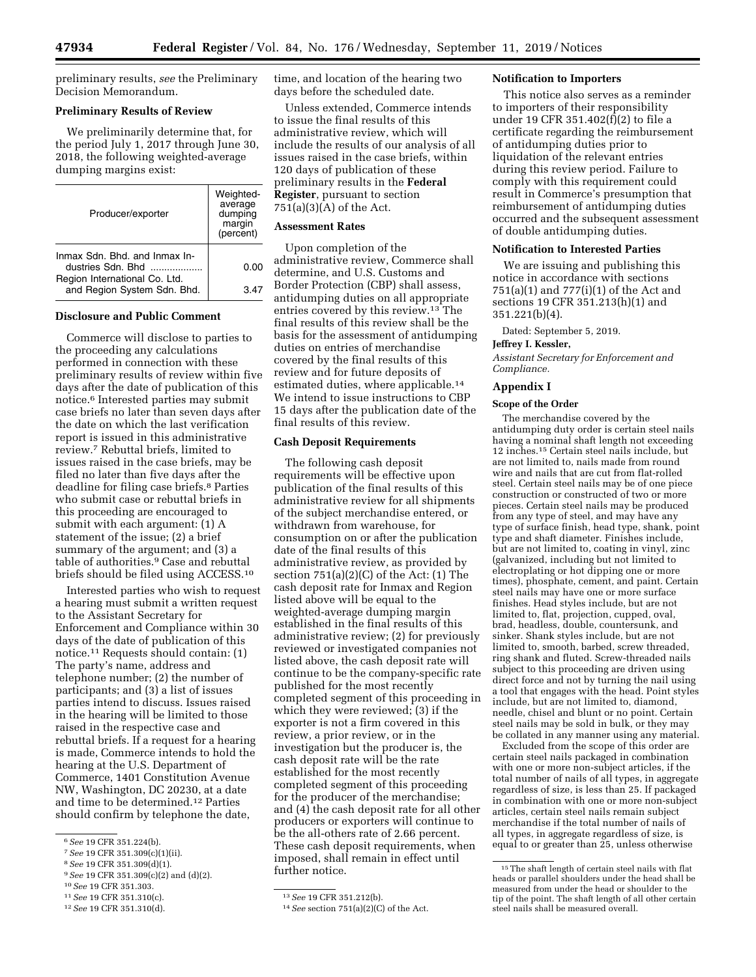preliminary results, *see* the Preliminary Decision Memorandum.

### **Preliminary Results of Review**

We preliminarily determine that, for the period July 1, 2017 through June 30, 2018, the following weighted-average dumping margins exist:

| Producer/exporter                                            | Weighted-<br>average<br>dumping<br>margin<br>(percent) |
|--------------------------------------------------------------|--------------------------------------------------------|
| Inmax Sdn. Bhd. and Inmax In-<br>dustries Sdn. Bhd           | 0.OO                                                   |
| Region International Co. Ltd.<br>and Region System Sdn. Bhd. | 3 47                                                   |

### **Disclosure and Public Comment**

Commerce will disclose to parties to the proceeding any calculations performed in connection with these preliminary results of review within five days after the date of publication of this notice.6 Interested parties may submit case briefs no later than seven days after the date on which the last verification report is issued in this administrative review.7 Rebuttal briefs, limited to issues raised in the case briefs, may be filed no later than five days after the deadline for filing case briefs.8 Parties who submit case or rebuttal briefs in this proceeding are encouraged to submit with each argument: (1) A statement of the issue; (2) a brief summary of the argument; and (3) a table of authorities.9 Case and rebuttal briefs should be filed using ACCESS.10

Interested parties who wish to request a hearing must submit a written request to the Assistant Secretary for Enforcement and Compliance within 30 days of the date of publication of this notice.11 Requests should contain: (1) The party's name, address and telephone number; (2) the number of participants; and (3) a list of issues parties intend to discuss. Issues raised in the hearing will be limited to those raised in the respective case and rebuttal briefs. If a request for a hearing is made, Commerce intends to hold the hearing at the U.S. Department of Commerce, 1401 Constitution Avenue NW, Washington, DC 20230, at a date and time to be determined.12 Parties should confirm by telephone the date,

- 8*See* 19 CFR 351.309(d)(1).
- 9*See* 19 CFR 351.309(c)(2) and (d)(2).
- 10*See* 19 CFR 351.303.

12*See* 19 CFR 351.310(d).

time, and location of the hearing two days before the scheduled date.

Unless extended, Commerce intends to issue the final results of this administrative review, which will include the results of our analysis of all issues raised in the case briefs, within 120 days of publication of these preliminary results in the **Federal Register**, pursuant to section 751(a)(3)(A) of the Act.

#### **Assessment Rates**

Upon completion of the administrative review, Commerce shall determine, and U.S. Customs and Border Protection (CBP) shall assess, antidumping duties on all appropriate entries covered by this review.13 The final results of this review shall be the basis for the assessment of antidumping duties on entries of merchandise covered by the final results of this review and for future deposits of estimated duties, where applicable.14 We intend to issue instructions to CBP 15 days after the publication date of the final results of this review.

### **Cash Deposit Requirements**

The following cash deposit requirements will be effective upon publication of the final results of this administrative review for all shipments of the subject merchandise entered, or withdrawn from warehouse, for consumption on or after the publication date of the final results of this administrative review, as provided by section  $751(a)(2)(C)$  of the Act:  $(1)$  The cash deposit rate for Inmax and Region listed above will be equal to the weighted-average dumping margin established in the final results of this administrative review; (2) for previously reviewed or investigated companies not listed above, the cash deposit rate will continue to be the company-specific rate published for the most recently completed segment of this proceeding in which they were reviewed; (3) if the exporter is not a firm covered in this review, a prior review, or in the investigation but the producer is, the cash deposit rate will be the rate established for the most recently completed segment of this proceeding for the producer of the merchandise; and (4) the cash deposit rate for all other producers or exporters will continue to be the all-others rate of 2.66 percent. These cash deposit requirements, when imposed, shall remain in effect until further notice.

#### **Notification to Importers**

This notice also serves as a reminder to importers of their responsibility under 19 CFR 351.402(f)(2) to file a certificate regarding the reimbursement of antidumping duties prior to liquidation of the relevant entries during this review period. Failure to comply with this requirement could result in Commerce's presumption that reimbursement of antidumping duties occurred and the subsequent assessment of double antidumping duties.

#### **Notification to Interested Parties**

We are issuing and publishing this notice in accordance with sections 751(a)(1) and 777(i)(1) of the Act and sections 19 CFR 351.213(h)(1) and 351.221(b)(4).

Dated: September 5, 2019.

### **Jeffrey I. Kessler,**

*Assistant Secretary for Enforcement and Compliance.* 

### **Appendix I**

#### **Scope of the Order**

The merchandise covered by the antidumping duty order is certain steel nails having a nominal shaft length not exceeding 12 inches.15 Certain steel nails include, but are not limited to, nails made from round wire and nails that are cut from flat-rolled steel. Certain steel nails may be of one piece construction or constructed of two or more pieces. Certain steel nails may be produced from any type of steel, and may have any type of surface finish, head type, shank, point type and shaft diameter. Finishes include, but are not limited to, coating in vinyl, zinc (galvanized, including but not limited to electroplating or hot dipping one or more times), phosphate, cement, and paint. Certain steel nails may have one or more surface finishes. Head styles include, but are not limited to, flat, projection, cupped, oval, brad, headless, double, countersunk, and sinker. Shank styles include, but are not limited to, smooth, barbed, screw threaded, ring shank and fluted. Screw-threaded nails subject to this proceeding are driven using direct force and not by turning the nail using a tool that engages with the head. Point styles include, but are not limited to, diamond, needle, chisel and blunt or no point. Certain steel nails may be sold in bulk, or they may be collated in any manner using any material.

Excluded from the scope of this order are certain steel nails packaged in combination with one or more non-subject articles, if the total number of nails of all types, in aggregate regardless of size, is less than 25. If packaged in combination with one or more non-subject articles, certain steel nails remain subject merchandise if the total number of nails of all types, in aggregate regardless of size, is equal to or greater than 25, unless otherwise

<sup>6</sup>*See* 19 CFR 351.224(b).

<sup>7</sup>*See* 19 CFR 351.309(c)(1)(ii).

<sup>11</sup>*See* 19 CFR 351.310(c).

<sup>13</sup>*See* 19 CFR 351.212(b).

<sup>14</sup>*See* section 751(a)(2)(C) of the Act.

 $^{15}\mathrm{The}$  shaft length of certain steel nails with flat heads or parallel shoulders under the head shall be measured from under the head or shoulder to the tip of the point. The shaft length of all other certain steel nails shall be measured overall.